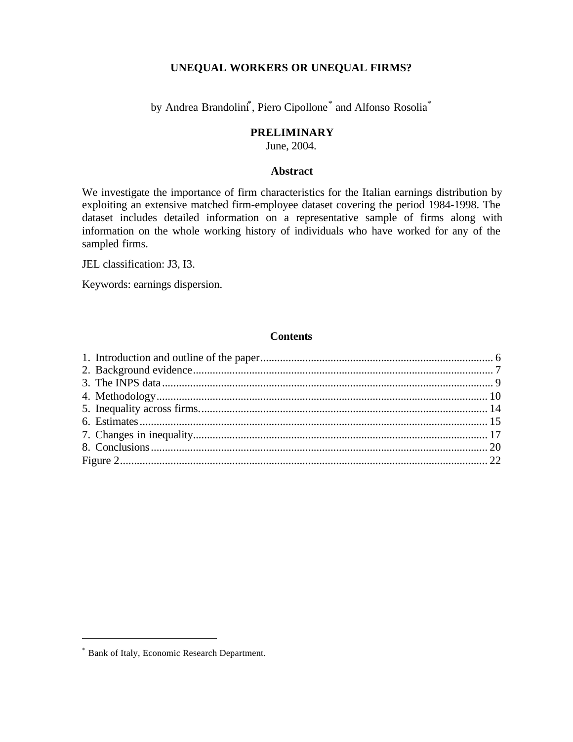# **UNEQUAL WORKERS OR UNEQUAL FIRMS?**

by Andrea Brandolini<sup>\*</sup>, Piero Cipollone<sup>\*</sup> and Alfonso Rosolia<sup>\*</sup>

# **PRELIMINARY**

June, 2004.

# **Abstract**

We investigate the importance of firm characteristics for the Italian earnings distribution by exploiting an extensive matched firm-employee dataset covering the period 1984-1998. The dataset includes detailed information on a representative sample of firms along with information on the whole working history of individuals who have worked for any of the sampled firms.

JEL classification: J3, I3.

Keywords: earnings dispersion.

# **Contents**

l

<sup>\*</sup> Bank of Italy, Economic Research Department.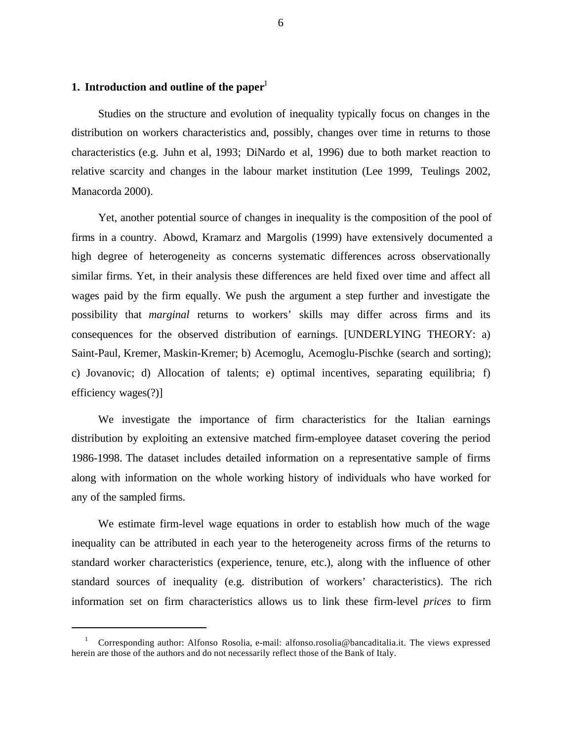# **1. Introduction and outline of the paper**<sup>1</sup>

l

Studies on the structure and evolution of inequality typically focus on changes in the distribution on workers characteristics and, possibly, changes over time in returns to those characteristics (e.g. Juhn et al, 1993; DiNardo et al, 1996) due to both market reaction to relative scarcity and changes in the labour market institution (Lee 1999, Teulings 2002, Manacorda 2000).

Yet, another potential source of changes in inequality is the composition of the pool of firms in a country. Abowd, Kramarz and Margolis (1999) have extensively documented a high degree of heterogeneity as concerns systematic differences across observationally similar firms. Yet, in their analysis these differences are held fixed over time and affect all wages paid by the firm equally. We push the argument a step further and investigate the possibility that *marginal* returns to workers' skills may differ across firms and its consequences for the observed distribution of earnings. [UNDERLYING THEORY: a) Saint-Paul, Kremer, Maskin-Kremer; b) Acemoglu, Acemoglu-Pischke (search and sorting); c) Jovanovic; d) Allocation of talents; e) optimal incentives, separating equilibria; f) efficiency wages(?)]

We investigate the importance of firm characteristics for the Italian earnings distribution by exploiting an extensive matched firm-employee dataset covering the period 1986-1998. The dataset includes detailed information on a representative sample of firms along with information on the whole working history of individuals who have worked for any of the sampled firms.

We estimate firm-level wage equations in order to establish how much of the wage inequality can be attributed in each year to the heterogeneity across firms of the returns to standard worker characteristics (experience, tenure, etc.), along with the influence of other standard sources of inequality (e.g. distribution of workers' characteristics). The rich information set on firm characteristics allows us to link these firm-level *prices* to firm

<sup>&</sup>lt;sup>1</sup> Corresponding author: Alfonso Rosolia, e-mail: alfonso.rosolia@bancaditalia.it. The views expressed herein are those of the authors and do not necessarily reflect those of the Bank of Italy.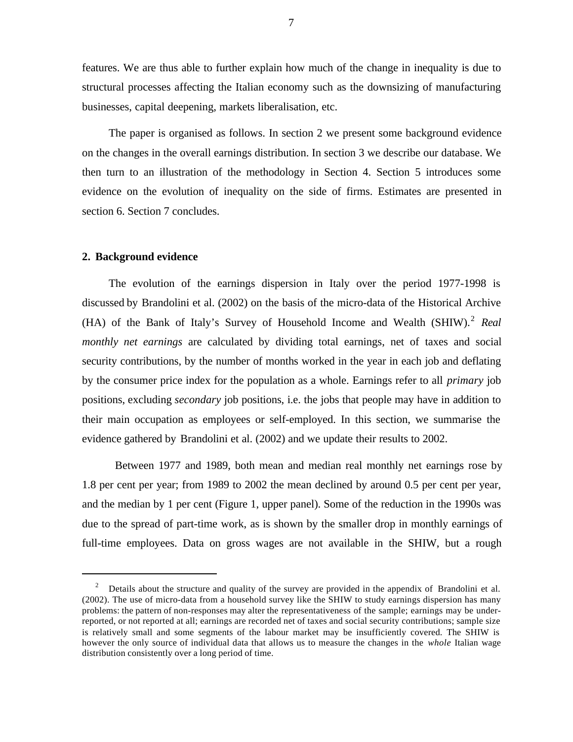features. We are thus able to further explain how much of the change in inequality is due to structural processes affecting the Italian economy such as the downsizing of manufacturing businesses, capital deepening, markets liberalisation, etc.

The paper is organised as follows. In section 2 we present some background evidence on the changes in the overall earnings distribution. In section 3 we describe our database. We then turn to an illustration of the methodology in Section 4. Section 5 introduces some evidence on the evolution of inequality on the side of firms. Estimates are presented in section 6. Section 7 concludes.

## **2. Background evidence**

l

The evolution of the earnings dispersion in Italy over the period 1977-1998 is discussed by Brandolini et al. (2002) on the basis of the micro-data of the Historical Archive (HA) of the Bank of Italy's Survey of Household Income and Wealth (SHIW).<sup>2</sup> *Real monthly net earnings* are calculated by dividing total earnings, net of taxes and social security contributions, by the number of months worked in the year in each job and deflating by the consumer price index for the population as a whole. Earnings refer to all *primary* job positions, excluding *secondary* job positions, i.e. the jobs that people may have in addition to their main occupation as employees or self-employed. In this section, we summarise the evidence gathered by Brandolini et al. (2002) and we update their results to 2002.

Between 1977 and 1989, both mean and median real monthly net earnings rose by 1.8 per cent per year; from 1989 to 2002 the mean declined by around 0.5 per cent per year, and the median by 1 per cent (Figure 1, upper panel). Some of the reduction in the 1990s was due to the spread of part-time work, as is shown by the smaller drop in monthly earnings of full-time employees. Data on gross wages are not available in the SHIW, but a rough

<sup>&</sup>lt;sup>2</sup> Details about the structure and quality of the survey are provided in the appendix of Brandolini et al. (2002). The use of micro-data from a household survey like the SHIW to study earnings dispersion has many problems: the pattern of non-responses may alter the representativeness of the sample; earnings may be underreported, or not reported at all; earnings are recorded net of taxes and social security contributions; sample size is relatively small and some segments of the labour market may be insufficiently covered. The SHIW is however the only source of individual data that allows us to measure the changes in the *whole* Italian wage distribution consistently over a long period of time.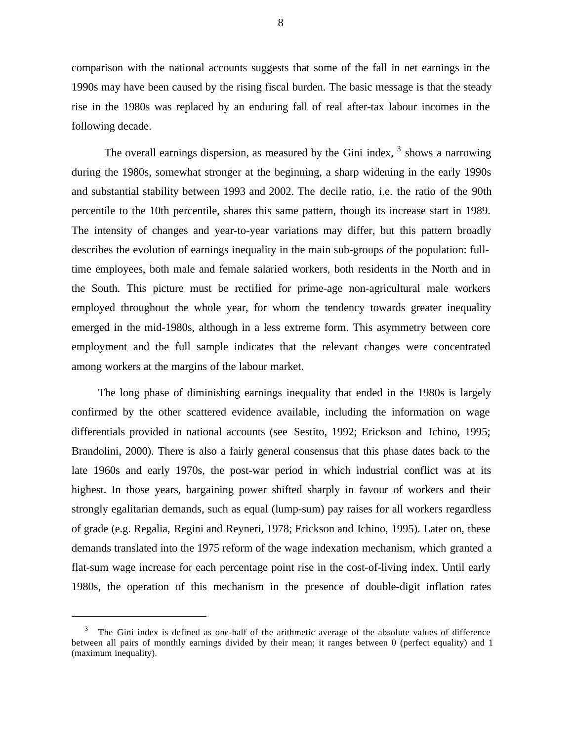comparison with the national accounts suggests that some of the fall in net earnings in the 1990s may have been caused by the rising fiscal burden. The basic message is that the steady rise in the 1980s was replaced by an enduring fall of real after-tax labour incomes in the following decade.

The overall earnings dispersion, as measured by the Gini index,  $3$  shows a narrowing during the 1980s, somewhat stronger at the beginning, a sharp widening in the early 1990s and substantial stability between 1993 and 2002. The decile ratio, i.e. the ratio of the 90th percentile to the 10th percentile, shares this same pattern, though its increase start in 1989. The intensity of changes and year-to-year variations may differ, but this pattern broadly describes the evolution of earnings inequality in the main sub-groups of the population: fulltime employees, both male and female salaried workers, both residents in the North and in the South. This picture must be rectified for prime-age non-agricultural male workers employed throughout the whole year, for whom the tendency towards greater inequality emerged in the mid-1980s, although in a less extreme form. This asymmetry between core employment and the full sample indicates that the relevant changes were concentrated among workers at the margins of the labour market.

The long phase of diminishing earnings inequality that ended in the 1980s is largely confirmed by the other scattered evidence available, including the information on wage differentials provided in national accounts (see Sestito, 1992; Erickson and Ichino, 1995; Brandolini, 2000). There is also a fairly general consensus that this phase dates back to the late 1960s and early 1970s, the post-war period in which industrial conflict was at its highest. In those years, bargaining power shifted sharply in favour of workers and their strongly egalitarian demands, such as equal (lump-sum) pay raises for all workers regardless of grade (e.g. Regalia, Regini and Reyneri, 1978; Erickson and Ichino, 1995). Later on, these demands translated into the 1975 reform of the wage indexation mechanism, which granted a flat-sum wage increase for each percentage point rise in the cost-of-living index. Until early 1980s, the operation of this mechanism in the presence of double-digit inflation rates

l

<sup>3</sup> The Gini index is defined as one-half of the arithmetic average of the absolute values of difference between all pairs of monthly earnings divided by their mean; it ranges between 0 (perfect equality) and 1 (maximum inequality).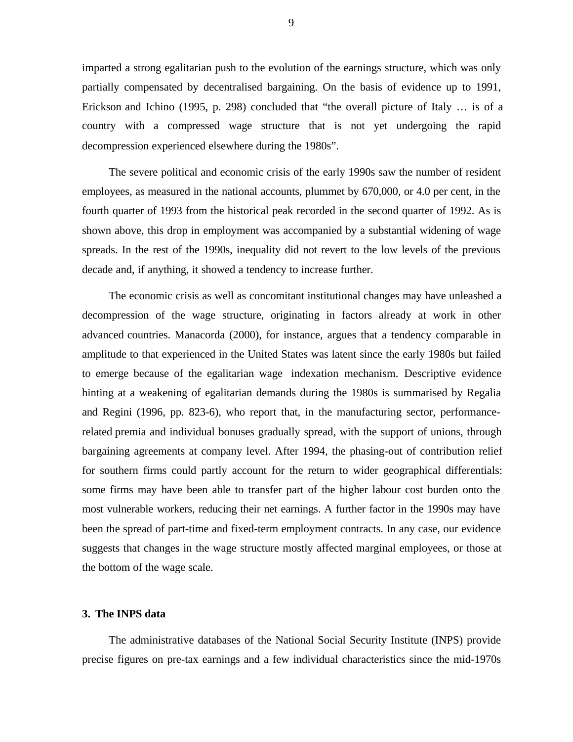imparted a strong egalitarian push to the evolution of the earnings structure, which was only partially compensated by decentralised bargaining. On the basis of evidence up to 1991, Erickson and Ichino (1995, p. 298) concluded that "the overall picture of Italy … is of a country with a compressed wage structure that is not yet undergoing the rapid decompression experienced elsewhere during the 1980s".

The severe political and economic crisis of the early 1990s saw the number of resident employees, as measured in the national accounts, plummet by 670,000, or 4.0 per cent, in the fourth quarter of 1993 from the historical peak recorded in the second quarter of 1992. As is shown above, this drop in employment was accompanied by a substantial widening of wage spreads. In the rest of the 1990s, inequality did not revert to the low levels of the previous decade and, if anything, it showed a tendency to increase further.

The economic crisis as well as concomitant institutional changes may have unleashed a decompression of the wage structure, originating in factors already at work in other advanced countries. Manacorda (2000), for instance, argues that a tendency comparable in amplitude to that experienced in the United States was latent since the early 1980s but failed to emerge because of the egalitarian wage indexation mechanism. Descriptive evidence hinting at a weakening of egalitarian demands during the 1980s is summarised by Regalia and Regini (1996, pp. 823-6), who report that, in the manufacturing sector, performancerelated premia and individual bonuses gradually spread, with the support of unions, through bargaining agreements at company level. After 1994, the phasing-out of contribution relief for southern firms could partly account for the return to wider geographical differentials: some firms may have been able to transfer part of the higher labour cost burden onto the most vulnerable workers, reducing their net earnings. A further factor in the 1990s may have been the spread of part-time and fixed-term employment contracts. In any case, our evidence suggests that changes in the wage structure mostly affected marginal employees, or those at the bottom of the wage scale.

## **3. The INPS data**

The administrative databases of the National Social Security Institute (INPS) provide precise figures on pre-tax earnings and a few individual characteristics since the mid-1970s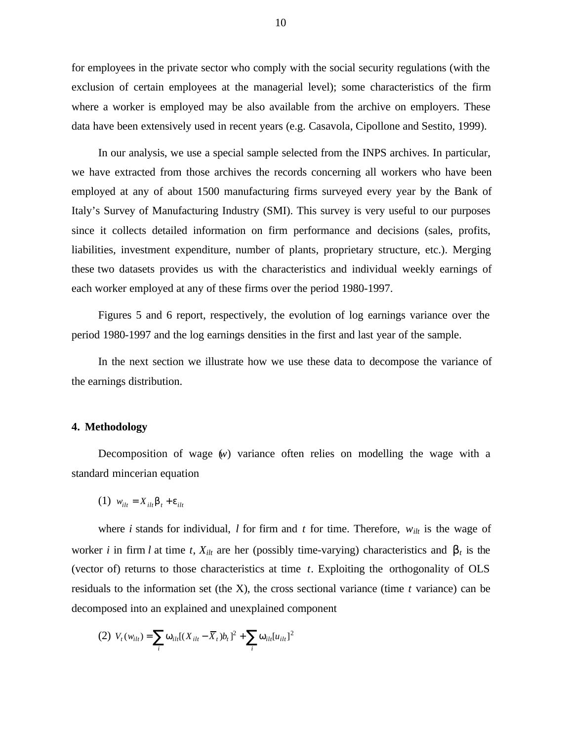for employees in the private sector who comply with the social security regulations (with the exclusion of certain employees at the managerial level); some characteristics of the firm where a worker is employed may be also available from the archive on employers. These data have been extensively used in recent years (e.g. Casavola, Cipollone and Sestito, 1999).

In our analysis, we use a special sample selected from the INPS archives. In particular, we have extracted from those archives the records concerning all workers who have been employed at any of about 1500 manufacturing firms surveyed every year by the Bank of Italy's Survey of Manufacturing Industry (SMI). This survey is very useful to our purposes since it collects detailed information on firm performance and decisions (sales, profits, liabilities, investment expenditure, number of plants, proprietary structure, etc.). Merging these two datasets provides us with the characteristics and individual weekly earnings of each worker employed at any of these firms over the period 1980-1997.

Figures 5 and 6 report, respectively, the evolution of log earnings variance over the period 1980-1997 and the log earnings densities in the first and last year of the sample.

In the next section we illustrate how we use these data to decompose the variance of the earnings distribution.

# **4. Methodology**

Decomposition of wage (*w*) variance often relies on modelling the wage with a standard mincerian equation

$$
(1) \ w_{ilt} = X_{ilt} \boldsymbol{b}_t + \boldsymbol{e}_{ilt}
$$

where *i* stands for individual, *l* for firm and *t* for time. Therefore,  $w_{ilt}$  is the wage of worker *i* in firm *l* at time *t*,  $X_{i l t}$  are her (possibly time-varying) characteristics and  $\mathbf{b}_t$  is the (vector of) returns to those characteristics at time *t*. Exploiting the orthogonality of OLS residuals to the information set (the X), the cross sectional variance (time *t* variance) can be decomposed into an explained and unexplained component

(2) 
$$
V_t(w_{it}) = \sum_i w_{itt}[(X_{it} - \overline{X}_t)b_t]^2 + \sum_i w_{itt}[u_{itt}]^2
$$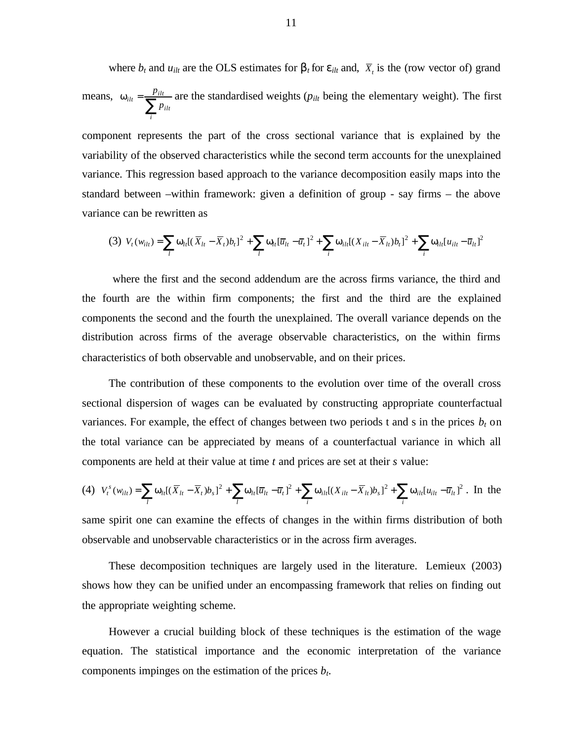where  $b_t$  and  $u_{i l t}$  are the OLS estimates for  $b_t$  for  $e_{i l t}$  and,  $\overline{X}_t$  is the (row vector of) grand means,  $w_{ilt} = \frac{p}{\sum_{i=1}^{n} p_{ilt}}$ *i ilt*  $i_{lt} = \frac{p_{ilt}}{\sum p}$  $w_{i} = \frac{p_{i l t}}{\sum_{i} p_{i l t}}$  are the standardised weights ( $p_{i l t}$  being the elementary weight). The first

component represents the part of the cross sectional variance that is explained by the variability of the observed characteristics while the second term accounts for the unexplained variance. This regression based approach to the variance decomposition easily maps into the standard between –within framework: given a definition of group - say firms – the above variance can be rewritten as

$$
(3) V_t(w_{ilt}) = \sum_l w_{lt}[(\overline{X}_{lt} - \overline{X}_t)b_t]^2 + \sum_l w_{lt}[\overline{u}_{lt} - \overline{u}_t]^2 + \sum_i w_{ilt}[(X_{ilt} - \overline{X}_{lt})b_t]^2 + \sum_i w_{itt}[u_{ilt} - \overline{u}_{lt}]^2
$$

 where the first and the second addendum are the across firms variance, the third and the fourth are the within firm components; the first and the third are the explained components the second and the fourth the unexplained. The overall variance depends on the distribution across firms of the average observable characteristics, on the within firms characteristics of both observable and unobservable, and on their prices.

The contribution of these components to the evolution over time of the overall cross sectional dispersion of wages can be evaluated by constructing appropriate counterfactual variances. For example, the effect of changes between two periods t and s in the prices  $b_t$  on the total variance can be appreciated by means of a counterfactual variance in which all components are held at their value at time *t* and prices are set at their *s* value:

$$
(4) \quad V_t^s(w_{ilt}) = \sum_l w_{lt}[(\overline{X}_{lt} - \overline{X}_t)b_s]^2 + \sum_l w_{lt}[\overline{u}_{lt} - \overline{u}_t]^2 + \sum_i w_{it}[(X_{ilt} - \overline{X}_{lt})b_s]^2 + \sum_i w_{it} [u_{it} - \overline{u}_{lt}]^2. \text{ In the}
$$

same spirit one can examine the effects of changes in the within firms distribution of both observable and unobservable characteristics or in the across firm averages.

These decomposition techniques are largely used in the literature. Lemieux (2003) shows how they can be unified under an encompassing framework that relies on finding out the appropriate weighting scheme.

However a crucial building block of these techniques is the estimation of the wage equation. The statistical importance and the economic interpretation of the variance components impinges on the estimation of the prices *bt*.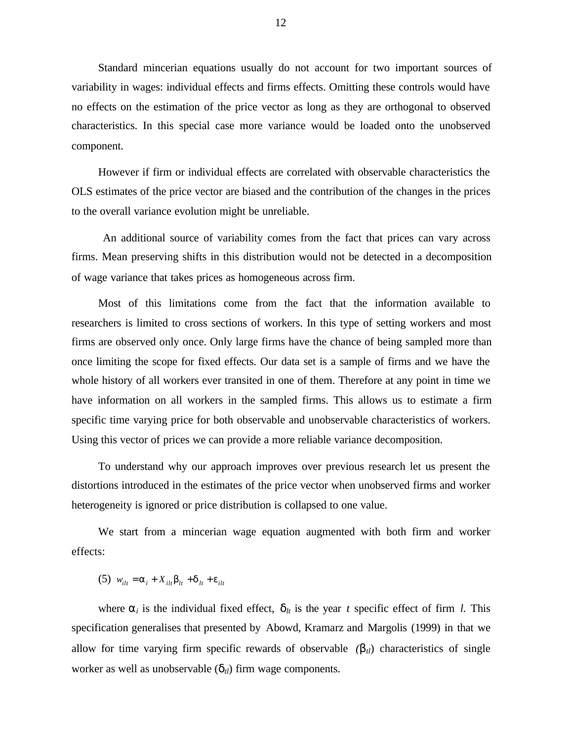Standard mincerian equations usually do not account for two important sources of variability in wages: individual effects and firms effects. Omitting these controls would have no effects on the estimation of the price vector as long as they are orthogonal to observed characteristics. In this special case more variance would be loaded onto the unobserved component.

However if firm or individual effects are correlated with observable characteristics the OLS estimates of the price vector are biased and the contribution of the changes in the prices to the overall variance evolution might be unreliable.

 An additional source of variability comes from the fact that prices can vary across firms. Mean preserving shifts in this distribution would not be detected in a decomposition of wage variance that takes prices as homogeneous across firm.

Most of this limitations come from the fact that the information available to researchers is limited to cross sections of workers. In this type of setting workers and most firms are observed only once. Only large firms have the chance of being sampled more than once limiting the scope for fixed effects. Our data set is a sample of firms and we have the whole history of all workers ever transited in one of them. Therefore at any point in time we have information on all workers in the sampled firms. This allows us to estimate a firm specific time varying price for both observable and unobservable characteristics of workers. Using this vector of prices we can provide a more reliable variance decomposition.

To understand why our approach improves over previous research let us present the distortions introduced in the estimates of the price vector when unobserved firms and worker heterogeneity is ignored or price distribution is collapsed to one value.

We start from a mincerian wage equation augmented with both firm and worker effects:

(5)  $w_{i} = a_i + X_{i} + b_i + d_i + e_{i}$ 

where  $a_i$  is the individual fixed effect,  $d_i$  is the year *t* specific effect of firm *l*. This specification generalises that presented by Abowd, Kramarz and Margolis (1999) in that we allow for time varying firm specific rewards of observable  $(b<sub>t</sub>)$  characteristics of single worker as well as unobservable  $(d_{t})$  firm wage components.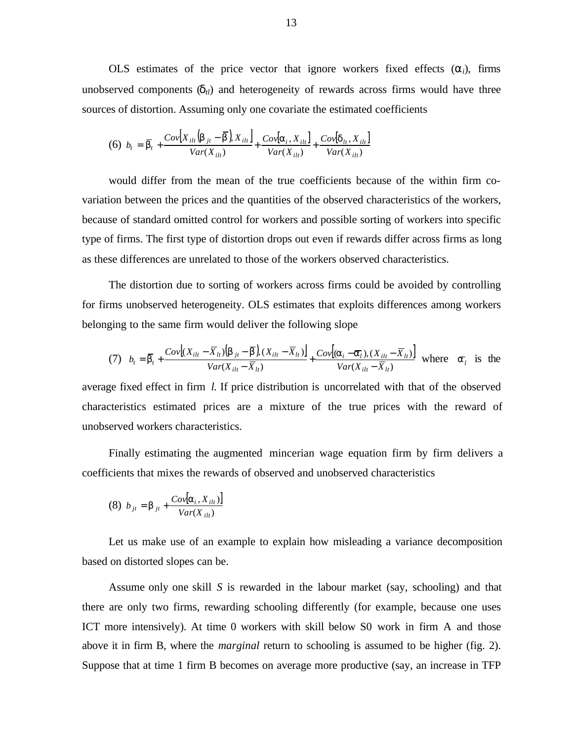OLS estimates of the price vector that ignore workers fixed effects  $(a_i)$ , firms unobserved components  $(d<sub>t</sub>)$  and heterogeneity of rewards across firms would have three sources of distortion. Assuming only one covariate the estimated coefficients

$$
(6) \ \ b_{t} = \overline{\bm{b}}_{t} + \frac{Cov[X_{ilt}(\bm{b}_{jt} - \overline{\bm{b}}], X_{ilt}]}{Var(X_{ilt})} + \frac{Cov[\bm{a}_{i}, X_{ilt}]}{Var(X_{ilt})} + \frac{Cov[\bm{d}_{lt}, X_{ilt}]}{Var(X_{ilt})}
$$

would differ from the mean of the true coefficients because of the within firm covariation between the prices and the quantities of the observed characteristics of the workers, because of standard omitted control for workers and possible sorting of workers into specific type of firms. The first type of distortion drops out even if rewards differ across firms as long as these differences are unrelated to those of the workers observed characteristics.

The distortion due to sorting of workers across firms could be avoided by controlling for firms unobserved heterogeneity. OLS estimates that exploits differences among workers belonging to the same firm would deliver the following slope

(7) 
$$
b_t = \overline{\boldsymbol{b}}_t + \frac{Cov[(X_{ilt} - \overline{X}_{lt})(\boldsymbol{b}_{jt} - \overline{\boldsymbol{b}}), (X_{ilt} - \overline{X}_{lt})]}{Var(X_{ilt} - \overline{X}_{lt})} + \frac{Cov[(\boldsymbol{a}_i - \overline{\boldsymbol{a}}_l), (X_{ilt} - \overline{X}_{lt})]}{Var(X_{ilt} - \overline{X}_{lt})} \text{ where } \overline{\boldsymbol{a}}_t \text{ is the}
$$

average fixed effect in firm *l*. If price distribution is uncorrelated with that of the observed characteristics estimated prices are a mixture of the true prices with the reward of unobserved workers characteristics.

Finally estimating the augmented mincerian wage equation firm by firm delivers a coefficients that mixes the rewards of observed and unobserved characteristics

$$
(8) \ \ b_{jt} = \mathbf{b}_{jt} + \frac{Cov[\mathbf{a}_i, X_{ilt})]}{Var(X_{ilt})}
$$

Let us make use of an example to explain how misleading a variance decomposition based on distorted slopes can be.

Assume only one skill *S* is rewarded in the labour market (say, schooling) and that there are only two firms, rewarding schooling differently (for example, because one uses ICT more intensively). At time 0 workers with skill below S0 work in firm A and those above it in firm B, where the *marginal* return to schooling is assumed to be higher (fig. 2). Suppose that at time 1 firm B becomes on average more productive (say, an increase in TFP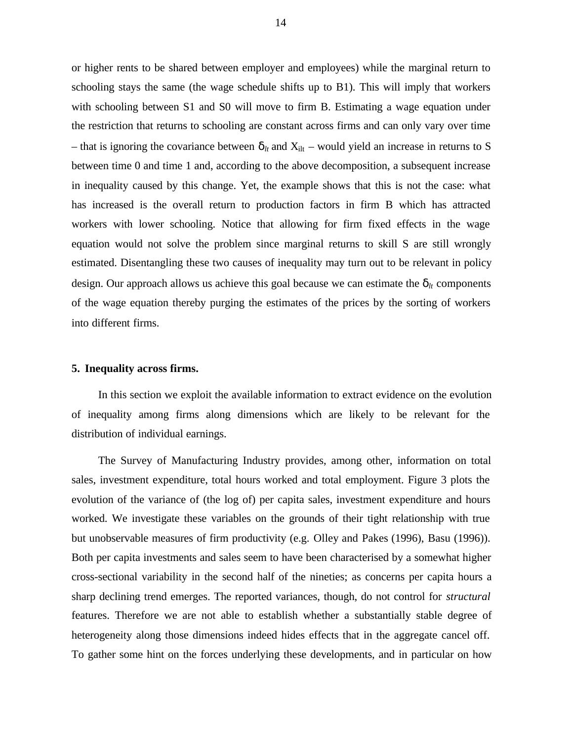or higher rents to be shared between employer and employees) while the marginal return to schooling stays the same (the wage schedule shifts up to B1). This will imply that workers with schooling between S1 and S0 will move to firm B. Estimating a wage equation under the restriction that returns to schooling are constant across firms and can only vary over time – that is ignoring the covariance between  $d_l$  and  $X_{\text{ilt}}$  – would yield an increase in returns to S between time 0 and time 1 and, according to the above decomposition, a subsequent increase in inequality caused by this change. Yet, the example shows that this is not the case: what has increased is the overall return to production factors in firm B which has attracted workers with lower schooling. Notice that allowing for firm fixed effects in the wage equation would not solve the problem since marginal returns to skill S are still wrongly estimated. Disentangling these two causes of inequality may turn out to be relevant in policy design. Our approach allows us achieve this goal because we can estimate the  $d_{lt}$  components of the wage equation thereby purging the estimates of the prices by the sorting of workers into different firms.

### **5. Inequality across firms.**

In this section we exploit the available information to extract evidence on the evolution of inequality among firms along dimensions which are likely to be relevant for the distribution of individual earnings.

The Survey of Manufacturing Industry provides, among other, information on total sales, investment expenditure, total hours worked and total employment. Figure 3 plots the evolution of the variance of (the log of) per capita sales, investment expenditure and hours worked. We investigate these variables on the grounds of their tight relationship with true but unobservable measures of firm productivity (e.g. Olley and Pakes (1996), Basu (1996)). Both per capita investments and sales seem to have been characterised by a somewhat higher cross-sectional variability in the second half of the nineties; as concerns per capita hours a sharp declining trend emerges. The reported variances, though, do not control for *structural* features. Therefore we are not able to establish whether a substantially stable degree of heterogeneity along those dimensions indeed hides effects that in the aggregate cancel off. To gather some hint on the forces underlying these developments, and in particular on how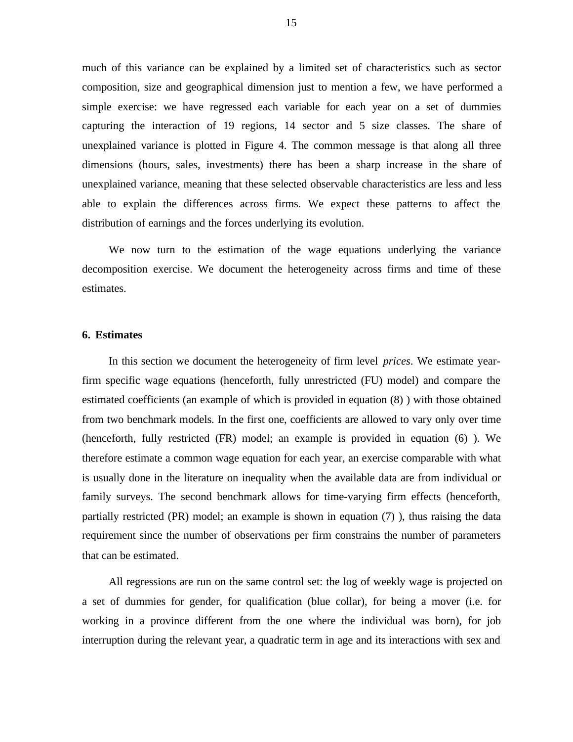much of this variance can be explained by a limited set of characteristics such as sector composition, size and geographical dimension just to mention a few, we have performed a simple exercise: we have regressed each variable for each year on a set of dummies capturing the interaction of 19 regions, 14 sector and 5 size classes. The share of unexplained variance is plotted in Figure 4. The common message is that along all three dimensions (hours, sales, investments) there has been a sharp increase in the share of unexplained variance, meaning that these selected observable characteristics are less and less able to explain the differences across firms. We expect these patterns to affect the distribution of earnings and the forces underlying its evolution.

We now turn to the estimation of the wage equations underlying the variance decomposition exercise. We document the heterogeneity across firms and time of these estimates.

## **6. Estimates**

In this section we document the heterogeneity of firm level *prices*. We estimate yearfirm specific wage equations (henceforth, fully unrestricted (FU) model) and compare the estimated coefficients (an example of which is provided in equation (8) ) with those obtained from two benchmark models. In the first one, coefficients are allowed to vary only over time (henceforth, fully restricted (FR) model; an example is provided in equation (6) ). We therefore estimate a common wage equation for each year, an exercise comparable with what is usually done in the literature on inequality when the available data are from individual or family surveys. The second benchmark allows for time-varying firm effects (henceforth, partially restricted (PR) model; an example is shown in equation (7) ), thus raising the data requirement since the number of observations per firm constrains the number of parameters that can be estimated.

All regressions are run on the same control set: the log of weekly wage is projected on a set of dummies for gender, for qualification (blue collar), for being a mover (i.e. for working in a province different from the one where the individual was born), for job interruption during the relevant year, a quadratic term in age and its interactions with sex and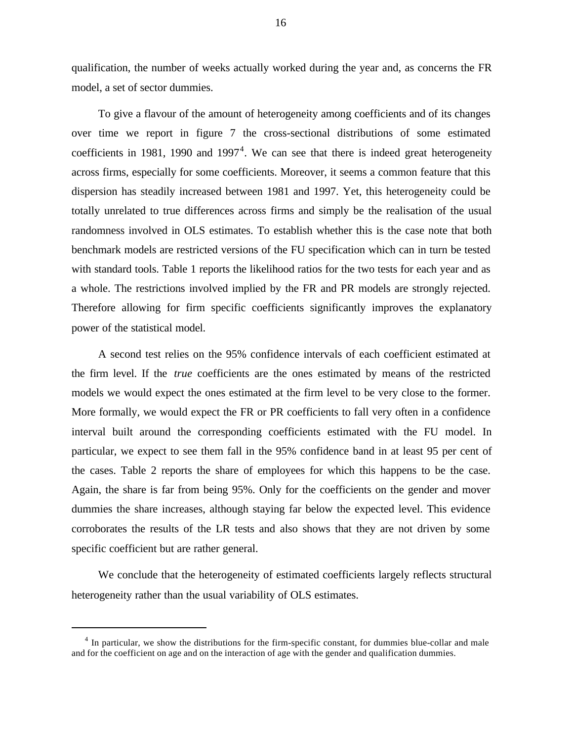qualification, the number of weeks actually worked during the year and, as concerns the FR model, a set of sector dummies.

To give a flavour of the amount of heterogeneity among coefficients and of its changes over time we report in figure 7 the cross-sectional distributions of some estimated coefficients in 1981, 1990 and 1997<sup>4</sup>. We can see that there is indeed great heterogeneity across firms, especially for some coefficients. Moreover, it seems a common feature that this dispersion has steadily increased between 1981 and 1997. Yet, this heterogeneity could be totally unrelated to true differences across firms and simply be the realisation of the usual randomness involved in OLS estimates. To establish whether this is the case note that both benchmark models are restricted versions of the FU specification which can in turn be tested with standard tools. Table 1 reports the likelihood ratios for the two tests for each year and as a whole. The restrictions involved implied by the FR and PR models are strongly rejected. Therefore allowing for firm specific coefficients significantly improves the explanatory power of the statistical model.

A second test relies on the 95% confidence intervals of each coefficient estimated at the firm level. If the *true* coefficients are the ones estimated by means of the restricted models we would expect the ones estimated at the firm level to be very close to the former. More formally, we would expect the FR or PR coefficients to fall very often in a confidence interval built around the corresponding coefficients estimated with the FU model. In particular, we expect to see them fall in the 95% confidence band in at least 95 per cent of the cases. Table 2 reports the share of employees for which this happens to be the case. Again, the share is far from being 95%. Only for the coefficients on the gender and mover dummies the share increases, although staying far below the expected level. This evidence corroborates the results of the LR tests and also shows that they are not driven by some specific coefficient but are rather general.

We conclude that the heterogeneity of estimated coefficients largely reflects structural heterogeneity rather than the usual variability of OLS estimates.

l

<sup>&</sup>lt;sup>4</sup> In particular, we show the distributions for the firm-specific constant, for dummies blue-collar and male and for the coefficient on age and on the interaction of age with the gender and qualification dummies.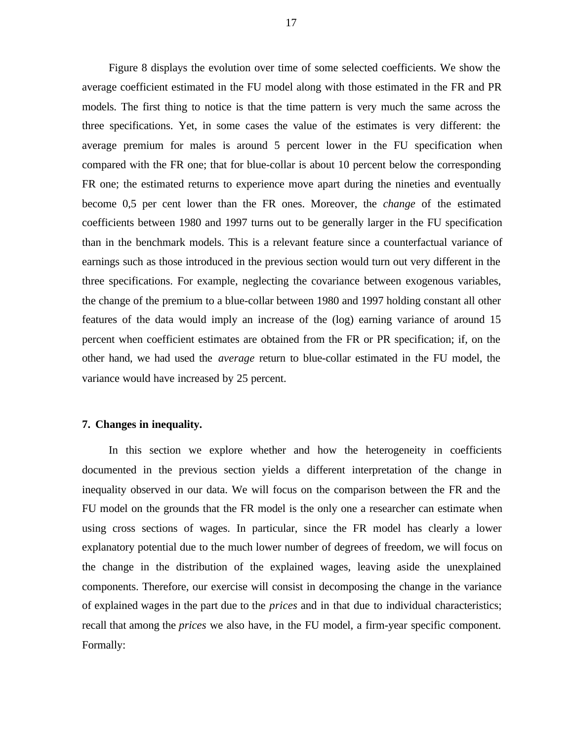Figure 8 displays the evolution over time of some selected coefficients. We show the average coefficient estimated in the FU model along with those estimated in the FR and PR models. The first thing to notice is that the time pattern is very much the same across the three specifications. Yet, in some cases the value of the estimates is very different: the average premium for males is around 5 percent lower in the FU specification when compared with the FR one; that for blue-collar is about 10 percent below the corresponding FR one; the estimated returns to experience move apart during the nineties and eventually become 0,5 per cent lower than the FR ones. Moreover, the *change* of the estimated coefficients between 1980 and 1997 turns out to be generally larger in the FU specification than in the benchmark models. This is a relevant feature since a counterfactual variance of earnings such as those introduced in the previous section would turn out very different in the three specifications. For example, neglecting the covariance between exogenous variables, the change of the premium to a blue-collar between 1980 and 1997 holding constant all other features of the data would imply an increase of the (log) earning variance of around 15 percent when coefficient estimates are obtained from the FR or PR specification; if, on the other hand, we had used the *average* return to blue-collar estimated in the FU model, the variance would have increased by 25 percent.

# **7. Changes in inequality.**

In this section we explore whether and how the heterogeneity in coefficients documented in the previous section yields a different interpretation of the change in inequality observed in our data. We will focus on the comparison between the FR and the FU model on the grounds that the FR model is the only one a researcher can estimate when using cross sections of wages. In particular, since the FR model has clearly a lower explanatory potential due to the much lower number of degrees of freedom, we will focus on the change in the distribution of the explained wages, leaving aside the unexplained components. Therefore, our exercise will consist in decomposing the change in the variance of explained wages in the part due to the *prices* and in that due to individual characteristics; recall that among the *prices* we also have, in the FU model, a firm-year specific component. Formally: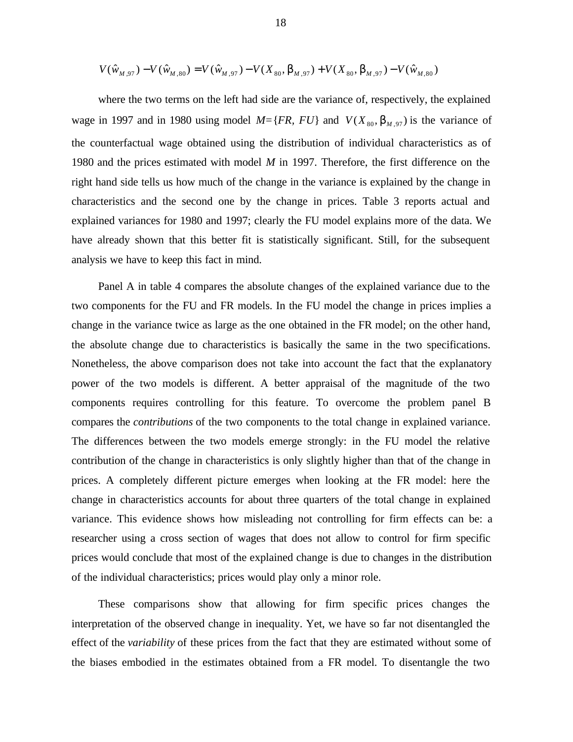$$
V(\hat{w}_{M,97}) - V(\hat{w}_{M,80}) = V(\hat{w}_{M,97}) - V(X_{80}, \mathbf{b}_{M,97}) + V(X_{80}, \mathbf{b}_{M,97}) - V(\hat{w}_{M,80})
$$

where the two terms on the left had side are the variance of, respectively, the explained wage in 1997 and in 1980 using model  $M = \{FR, FU\}$  and  $V(X_{80}, \mathbf{b}_{M.97})$  is the variance of the counterfactual wage obtained using the distribution of individual characteristics as of 1980 and the prices estimated with model *M* in 1997. Therefore, the first difference on the right hand side tells us how much of the change in the variance is explained by the change in characteristics and the second one by the change in prices. Table 3 reports actual and explained variances for 1980 and 1997; clearly the FU model explains more of the data. We have already shown that this better fit is statistically significant. Still, for the subsequent analysis we have to keep this fact in mind.

Panel A in table 4 compares the absolute changes of the explained variance due to the two components for the FU and FR models. In the FU model the change in prices implies a change in the variance twice as large as the one obtained in the FR model; on the other hand, the absolute change due to characteristics is basically the same in the two specifications. Nonetheless, the above comparison does not take into account the fact that the explanatory power of the two models is different. A better appraisal of the magnitude of the two components requires controlling for this feature. To overcome the problem panel B compares the *contributions* of the two components to the total change in explained variance. The differences between the two models emerge strongly: in the FU model the relative contribution of the change in characteristics is only slightly higher than that of the change in prices. A completely different picture emerges when looking at the FR model: here the change in characteristics accounts for about three quarters of the total change in explained variance. This evidence shows how misleading not controlling for firm effects can be: a researcher using a cross section of wages that does not allow to control for firm specific prices would conclude that most of the explained change is due to changes in the distribution of the individual characteristics; prices would play only a minor role.

These comparisons show that allowing for firm specific prices changes the interpretation of the observed change in inequality. Yet, we have so far not disentangled the effect of the *variability* of these prices from the fact that they are estimated without some of the biases embodied in the estimates obtained from a FR model. To disentangle the two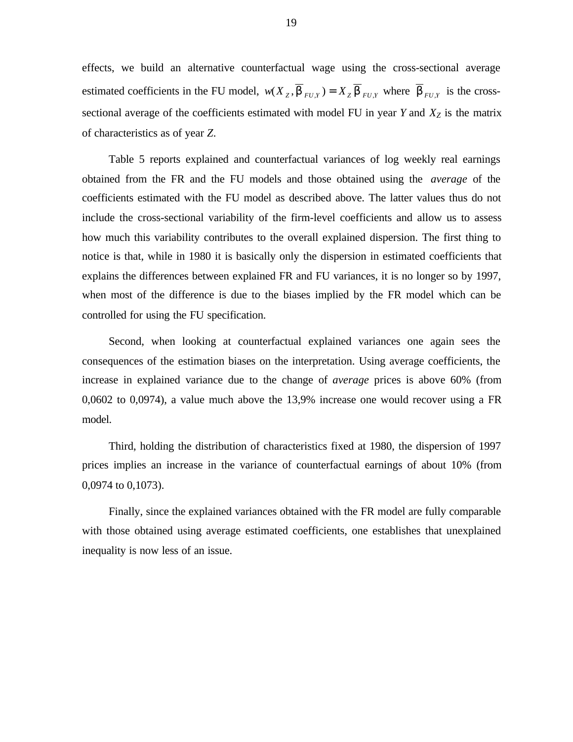effects, we build an alternative counterfactual wage using the cross-sectional average estimated coefficients in the FU model,  $w(X_z, \mathbf{b}_{FU,Y}) = X_z \mathbf{b}_{FU,Y}$  where  $\mathbf{b}_{FU,Y}$  is the crosssectional average of the coefficients estimated with model FU in year *Y* and *XZ* is the matrix of characteristics as of year *Z*.

Table 5 reports explained and counterfactual variances of log weekly real earnings obtained from the FR and the FU models and those obtained using the *average* of the coefficients estimated with the FU model as described above. The latter values thus do not include the cross-sectional variability of the firm-level coefficients and allow us to assess how much this variability contributes to the overall explained dispersion. The first thing to notice is that, while in 1980 it is basically only the dispersion in estimated coefficients that explains the differences between explained FR and FU variances, it is no longer so by 1997, when most of the difference is due to the biases implied by the FR model which can be controlled for using the FU specification.

Second, when looking at counterfactual explained variances one again sees the consequences of the estimation biases on the interpretation. Using average coefficients, the increase in explained variance due to the change of *average* prices is above 60% (from 0,0602 to 0,0974), a value much above the 13,9% increase one would recover using a FR model.

Third, holding the distribution of characteristics fixed at 1980, the dispersion of 1997 prices implies an increase in the variance of counterfactual earnings of about 10% (from 0,0974 to 0,1073).

Finally, since the explained variances obtained with the FR model are fully comparable with those obtained using average estimated coefficients, one establishes that unexplained inequality is now less of an issue.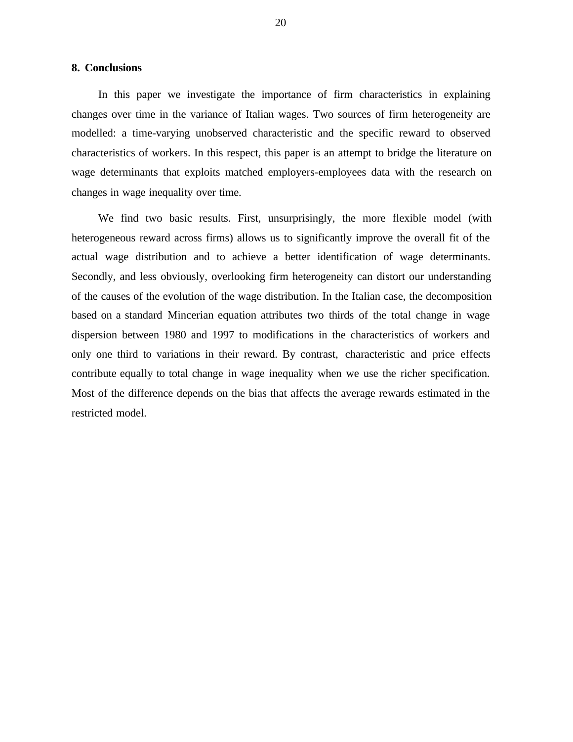# **8. Conclusions**

In this paper we investigate the importance of firm characteristics in explaining changes over time in the variance of Italian wages. Two sources of firm heterogeneity are modelled: a time-varying unobserved characteristic and the specific reward to observed characteristics of workers. In this respect, this paper is an attempt to bridge the literature on wage determinants that exploits matched employers-employees data with the research on changes in wage inequality over time.

We find two basic results. First, unsurprisingly, the more flexible model (with heterogeneous reward across firms) allows us to significantly improve the overall fit of the actual wage distribution and to achieve a better identification of wage determinants. Secondly, and less obviously, overlooking firm heterogeneity can distort our understanding of the causes of the evolution of the wage distribution. In the Italian case, the decomposition based on a standard Mincerian equation attributes two thirds of the total change in wage dispersion between 1980 and 1997 to modifications in the characteristics of workers and only one third to variations in their reward. By contrast, characteristic and price effects contribute equally to total change in wage inequality when we use the richer specification. Most of the difference depends on the bias that affects the average rewards estimated in the restricted model.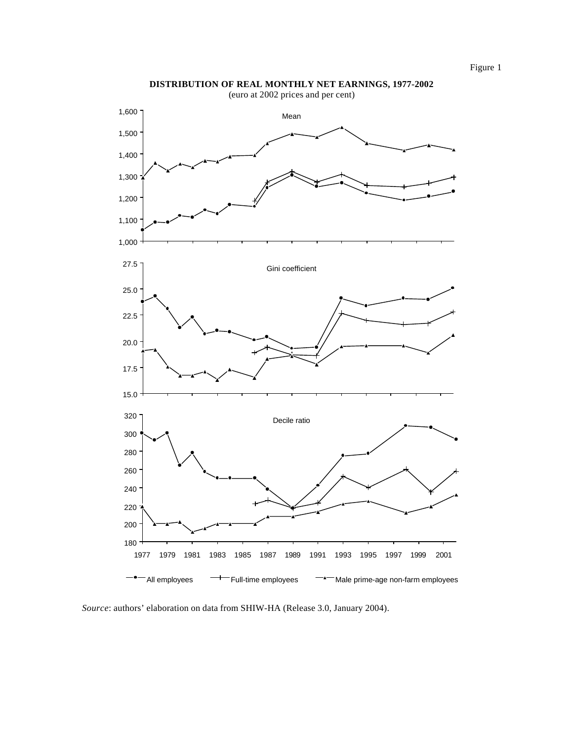

**DISTRIBUTION OF REAL MONTHLY NET EARNINGS, 1977-2002**

*Source*: authors' elaboration on data from SHIW-HA (Release 3.0, January 2004).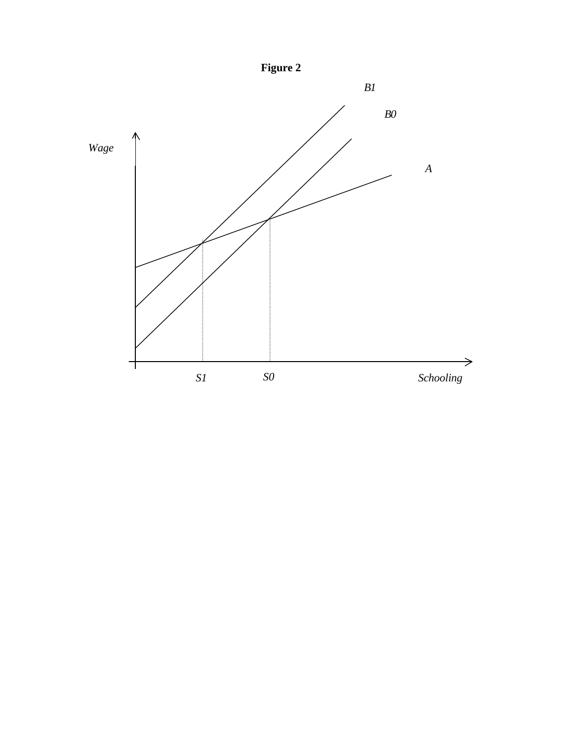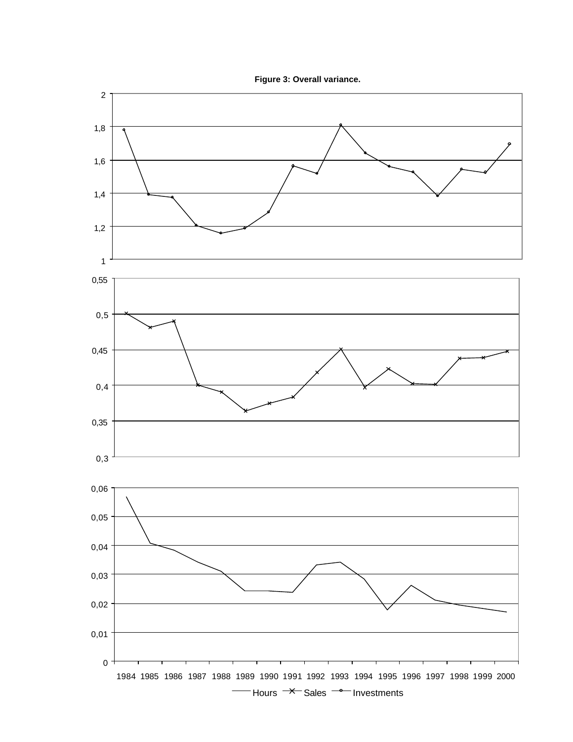

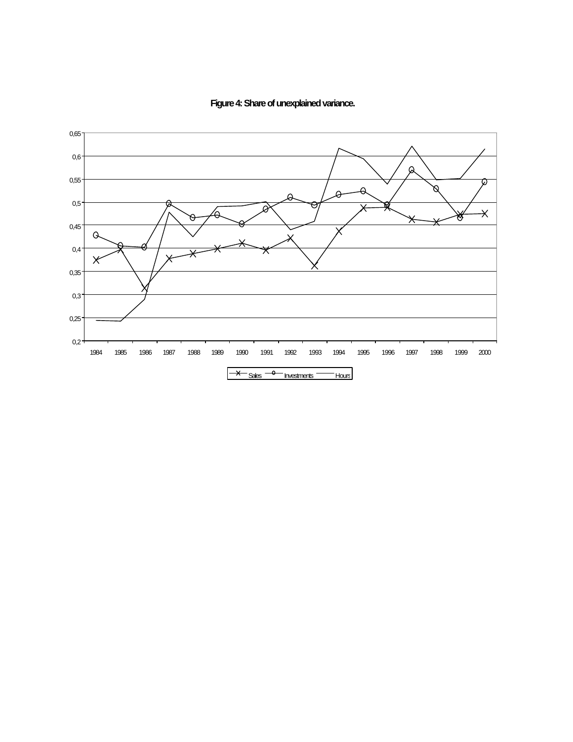

**Figure 4: Share of unexplained variance.**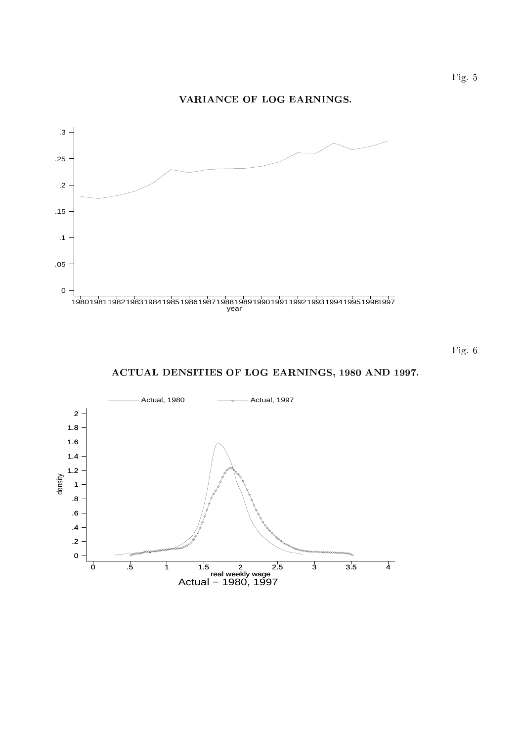#### !



-"

 $\operatorname{ACTUAL}$  DENSITIES OF LOG EARNINGS, 1980 AND 1997.

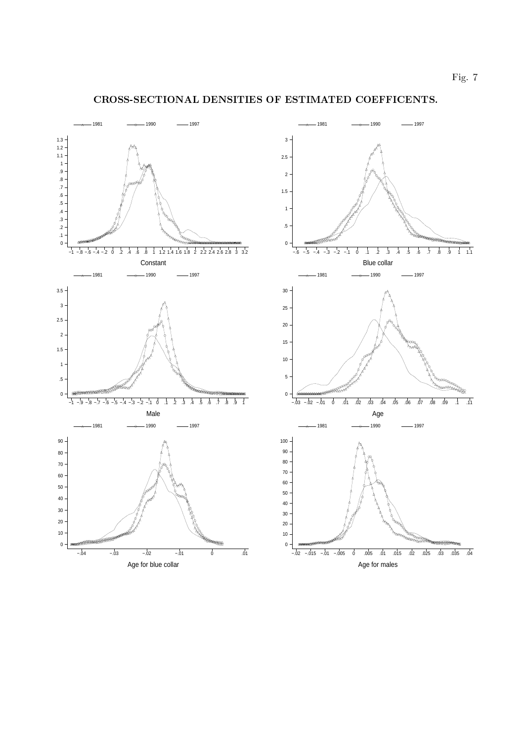Blue collar

Age



#### ! 
"#\$
! %&! '()##\* 
+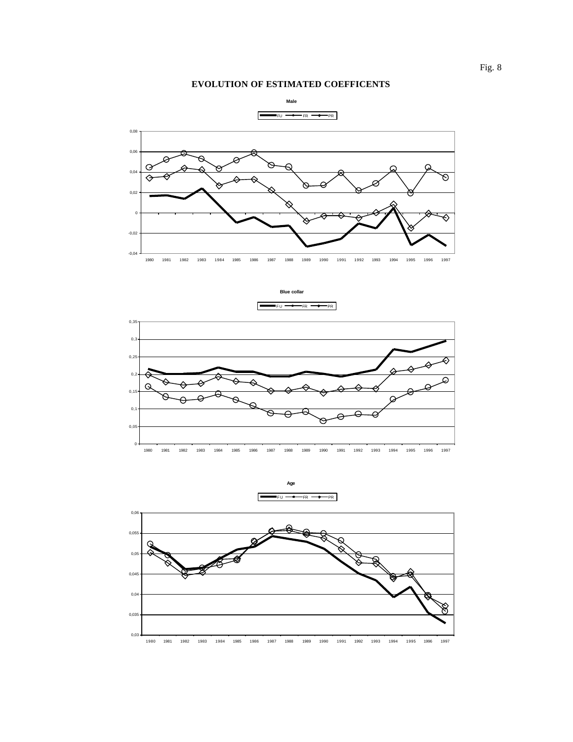## **EVOLUTION OF ESTIMATED COEFFICENTS**





 $FU \rightarrow FR \rightarrow PR$ 





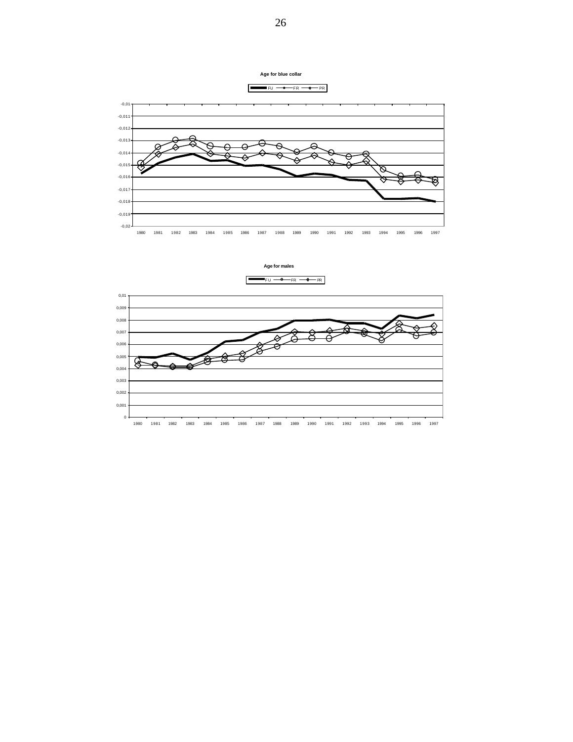



**Age for blue collar**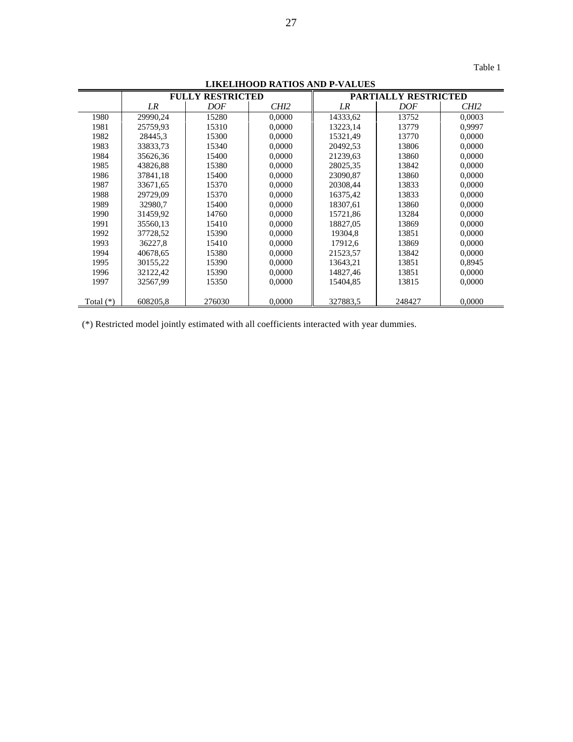| $\sigma$ <i>D</i> in the $\sigma$ |          |                         |                  |                      |        |        |  |  |
|-----------------------------------|----------|-------------------------|------------------|----------------------|--------|--------|--|--|
|                                   |          | <b>FULLY RESTRICTED</b> |                  | PARTIALLY RESTRICTED |        |        |  |  |
|                                   | LR       | DOF                     | CH <sub>12</sub> | LR                   | DOF    | CHI2   |  |  |
| 1980                              | 29990,24 | 15280                   | 0,0000           | 14333,62             | 13752  | 0,0003 |  |  |
| 1981                              | 25759.93 | 15310                   | 0.0000           | 13223.14             | 13779  | 0.9997 |  |  |
| 1982                              | 28445,3  | 15300                   | 0,0000           | 15321,49             | 13770  | 0,0000 |  |  |
| 1983                              | 33833,73 | 15340                   | 0,0000           | 20492,53             | 13806  | 0,0000 |  |  |
| 1984                              | 35626,36 | 15400                   | 0,0000           | 21239,63             | 13860  | 0,0000 |  |  |
| 1985                              | 43826,88 | 15380                   | 0.0000           | 28025,35             | 13842  | 0.0000 |  |  |
| 1986                              | 37841,18 | 15400                   | 0,0000           | 23090.87             | 13860  | 0,0000 |  |  |
| 1987                              | 33671,65 | 15370                   | 0,0000           | 20308,44             | 13833  | 0,0000 |  |  |
| 1988                              | 29729,09 | 15370                   | 0,0000           | 16375,42             | 13833  | 0,0000 |  |  |
| 1989                              | 32980,7  | 15400                   | 0,0000           | 18307,61             | 13860  | 0,0000 |  |  |
| 1990                              | 31459,92 | 14760                   | 0,0000           | 15721,86             | 13284  | 0,0000 |  |  |
| 1991                              | 35560,13 | 15410                   | 0.0000           | 18827.05             | 13869  | 0.0000 |  |  |
| 1992                              | 37728,52 | 15390                   | 0,0000           | 19304,8              | 13851  | 0,0000 |  |  |
| 1993                              | 36227,8  | 15410                   | 0,0000           | 17912,6              | 13869  | 0,0000 |  |  |
| 1994                              | 40678,65 | 15380                   | 0,0000           | 21523,57             | 13842  | 0,0000 |  |  |
| 1995                              | 30155,22 | 15390                   | 0.0000           | 13643,21             | 13851  | 0.8945 |  |  |
| 1996                              | 32122,42 | 15390                   | 0,0000           | 14827,46             | 13851  | 0.0000 |  |  |
| 1997                              | 32567,99 | 15350                   | 0,0000           | 15404,85             | 13815  | 0,0000 |  |  |
|                                   |          |                         |                  |                      |        |        |  |  |
| Total $(*)$                       | 608205,8 | 276030                  | 0,0000           | 327883,5             | 248427 | 0,0000 |  |  |

**LIKELIHOOD RATIOS AND P-VALUES**

(\*) Restricted model jointly estimated with all coefficients interacted with year dummies.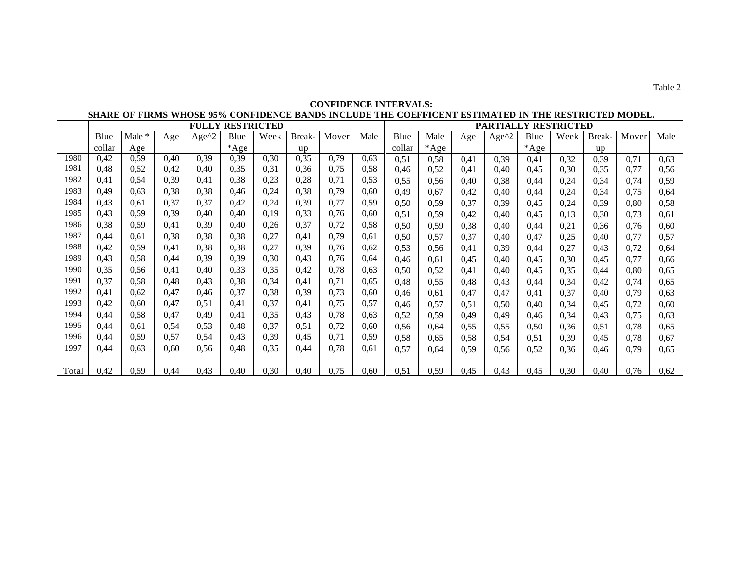|       | SHARE OF FIRMS WHOSE 95% CONFIDENCE BANDS INCLUDE THE COEFFICENT ESTIMATED IN THE RESTRICTED MODEL. |          |      |         |        |      |                             |       |      |        |        |      |                  |        |      |        |       |      |
|-------|-----------------------------------------------------------------------------------------------------|----------|------|---------|--------|------|-----------------------------|-------|------|--------|--------|------|------------------|--------|------|--------|-------|------|
|       | <b>FULLY RESTRICTED</b>                                                                             |          |      |         |        |      | <b>PARTIALLY RESTRICTED</b> |       |      |        |        |      |                  |        |      |        |       |      |
|       | Blue                                                                                                | Male $*$ | Age  | $Age^2$ | Blue   | Week | Break-                      | Mover | Male | Blue   | Male   | Age  | Age $^{\wedge}2$ | Blue   | Week | Break- | Mover | Male |
|       | collar                                                                                              | Age      |      |         | $*Age$ |      | <b>up</b>                   |       |      | collar | $*Age$ |      |                  | $*Age$ |      | up     |       |      |
| 1980  | 0,42                                                                                                | 0,59     | 0,40 | 0,39    | 0,39   | 0,30 | 0,35                        | 0,79  | 0.63 | 0,51   | 0,58   | 0,41 | 0,39             | 0,41   | 0,32 | 0,39   | 0.71  | 0.63 |
| 1981  | 0.48                                                                                                | 0,52     | 0,42 | 0,40    | 0,35   | 0,31 | 0,36                        | 0,75  | 0,58 | 0,46   | 0.52   | 0,41 | 0.40             | 0.45   | 0.30 | 0.35   | 0.77  | 0.56 |
| 1982  | 0.41                                                                                                | 0.54     | 0.39 | 0.41    | 0,38   | 0.23 | 0,28                        | 0,71  | 0,53 | 0.55   | 0.56   | 0.40 | 0.38             | 0,44   | 0,24 | 0.34   | 0.74  | 0.59 |
| 1983  | 0.49                                                                                                | 0.63     | 0.38 | 0,38    | 0,46   | 0,24 | 0,38                        | 0,79  | 0.60 | 0,49   | 0.67   | 0,42 | 0,40             | 0,44   | 0,24 | 0,34   | 0.75  | 0.64 |
| 1984  | 0.43                                                                                                | 0.61     | 0,37 | 0,37    | 0,42   | 0,24 | 0.39                        | 0,77  | 0.59 | 0.50   | 0.59   | 0,37 | 0,39             | 0.45   | 0,24 | 0.39   | 0,80  | 0.58 |
| 1985  | 0.43                                                                                                | 0.59     | 0,39 | 0.40    | 0.40   | 0.19 | 0,33                        | 0,76  | 0.60 | 0,51   | 0.59   | 0,42 | 0,40             | 0.45   | 0,13 | 0,30   | 0.73  | 0.61 |
| 1986  | 0,38                                                                                                | 0.59     | 0,41 | 0,39    | 0.40   | 0,26 | 0,37                        | 0,72  | 0,58 | 0.50   | 0.59   | 0,38 | 0,40             | 0,44   | 0,21 | 0,36   | 0,76  | 0.60 |
| 1987  | 0,44                                                                                                | 0.61     | 0,38 | 0,38    | 0,38   | 0,27 | 0,41                        | 0,79  | 0.61 | 0.50   | 0.57   | 0,37 | 0,40             | 0,47   | 0,25 | 0,40   | 0.77  | 0.57 |
| 1988  | 0,42                                                                                                | 0.59     | 0,41 | 0,38    | 0,38   | 0,27 | 0,39                        | 0,76  | 0.62 | 0,53   | 0.56   | 0.41 | 0,39             | 0,44   | 0,27 | 0.43   | 0.72  | 0,64 |
| 1989  | 0.43                                                                                                | 0,58     | 0.44 | 0,39    | 0,39   | 0,30 | 0.43                        | 0.76  | 0.64 | 0.46   | 0.61   | 0.45 | 0.40             | 0.45   | 0.30 | 0.45   | 0.77  | 0.66 |
| 1990  | 0,35                                                                                                | 0.56     | 0,41 | 0.40    | 0,33   | 0,35 | 0,42                        | 0,78  | 0.63 | 0,50   | 0.52   | 0,41 | 0.40             | 0.45   | 0,35 | 0.44   | 0.80  | 0.65 |
| 1991  | 0,37                                                                                                | 0.58     | 0.48 | 0,43    | 0,38   | 0.34 | 0,41                        | 0,71  | 0.65 | 0,48   | 0.55   | 0,48 | 0,43             | 0,44   | 0,34 | 0.42   | 0.74  | 0.65 |
| 1992  | 0.41                                                                                                | 0.62     | 0.47 | 0.46    | 0,37   | 0,38 | 0.39                        | 0,73  | 0.60 | 0,46   | 0.61   | 0,47 | 0.47             | 0,41   | 0,37 | 0.40   | 0.79  | 0.63 |
| 1993  | 0,42                                                                                                | 0.60     | 0.47 | 0.51    | 0.41   | 0.37 | 0,41                        | 0.75  | 0.57 | 0.46   | 0.57   | 0,51 | 0.50             | 0.40   | 0,34 | 0.45   | 0.72  | 0.60 |
| 1994  | 0,44                                                                                                | 0,58     | 0,47 | 0,49    | 0.41   | 0,35 | 0.43                        | 0,78  | 0.63 | 0.52   | 0.59   | 0.49 | 0.49             | 0,46   | 0.34 | 0.43   | 0.75  | 0.63 |
| 1995  | 0,44                                                                                                | 0.61     | 0.54 | 0,53    | 0,48   | 0,37 | 0.51                        | 0,72  | 0,60 | 0,56   | 0.64   | 0.55 | 0,55             | 0.50   | 0.36 | 0.51   | 0.78  | 0.65 |
| 1996  | 0,44                                                                                                | 0.59     | 0.57 | 0,54    | 0,43   | 0.39 | 0.45                        | 0,71  | 0.59 | 0,58   | 0.65   | 0.58 | 0.54             | 0.51   | 0,39 | 0.45   | 0.78  | 0.67 |
| 1997  | 0,44                                                                                                | 0.63     | 0.60 | 0.56    | 0.48   | 0,35 | 0,44                        | 0.78  | 0.61 | 0,57   | 0.64   | 0.59 | 0,56             | 0.52   | 0.36 | 0.46   | 0.79  | 0.65 |
|       |                                                                                                     |          |      |         |        |      |                             |       |      |        |        |      |                  |        |      |        |       |      |
| Total | 0,42                                                                                                | 0.59     | 0,44 | 0,43    | 0,40   | 0,30 | 0,40                        | 0,75  | 0,60 | 0.51   | 0.59   | 0.45 | 0,43             | 0.45   | 0,30 | 0,40   | 0.76  | 0.62 |

## **CONFIDENCE INTERVALS: SHARE OF FIRMS WHOSE 95% CONFIDENCE BANDS INCLUDE THE COEFFICENT ESTIMATED IN THE RESTRICTED MODEL.**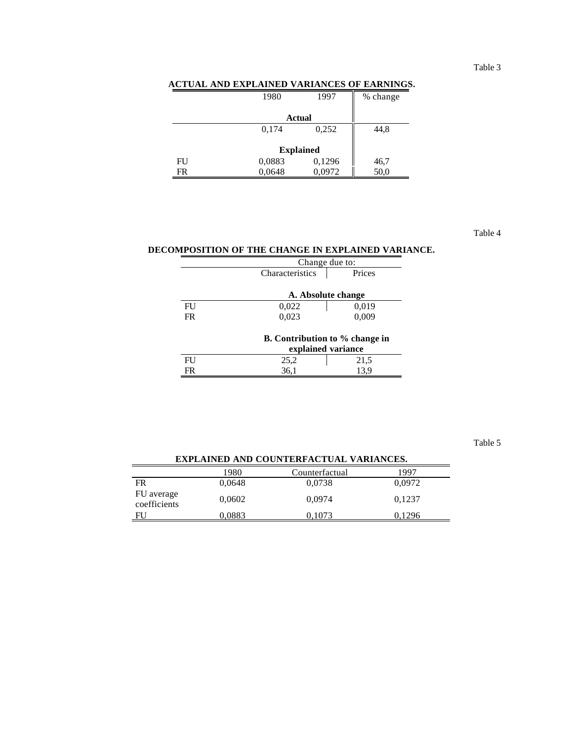### Table 3

### **ACTUAL AND EXPLAINED VARIANCES OF EARNINGS.**

|    | 1980   | 1997   | % change |
|----|--------|--------|----------|
|    |        | Actual |          |
|    | 0,174  | 0,252  | 44,8     |
|    |        |        |          |
|    |        |        |          |
| FU | 0,0883 | 0,1296 | 46,7     |
| FR | 0,0648 | 0,0972 | 50,0     |

Table 4

# **DECOMPOSITION OF THE CHANGE IN EXPLAINED VARIANCE.**

|    | Change due to:            |                                       |  |  |  |  |  |
|----|---------------------------|---------------------------------------|--|--|--|--|--|
|    | Prices<br>Characteristics |                                       |  |  |  |  |  |
|    |                           |                                       |  |  |  |  |  |
|    |                           | A. Absolute change                    |  |  |  |  |  |
| FU | 0,022                     | 0,019                                 |  |  |  |  |  |
| FR | 0,023                     | 0,009                                 |  |  |  |  |  |
|    |                           |                                       |  |  |  |  |  |
|    |                           | <b>B.</b> Contribution to % change in |  |  |  |  |  |
|    | explained variance        |                                       |  |  |  |  |  |
|    | 25.2                      | 21,5                                  |  |  |  |  |  |

| ED                  |          |          |
|---------------------|----------|----------|
| $\mathbf{r}$<br>. . | ستروحيهم | ر د د سه |

Table 5

# 1980 Counterfactual 1997<br>0,0648 0,0738 0,0972 FR 0,0648 0,0738 0,0972 FU average rc average 0,0602 0,0974 0,1237 FU 0,0883 0,1073 0,1296

# **EXPLAINED AND COUNTERFACTUAL VARIANCES.**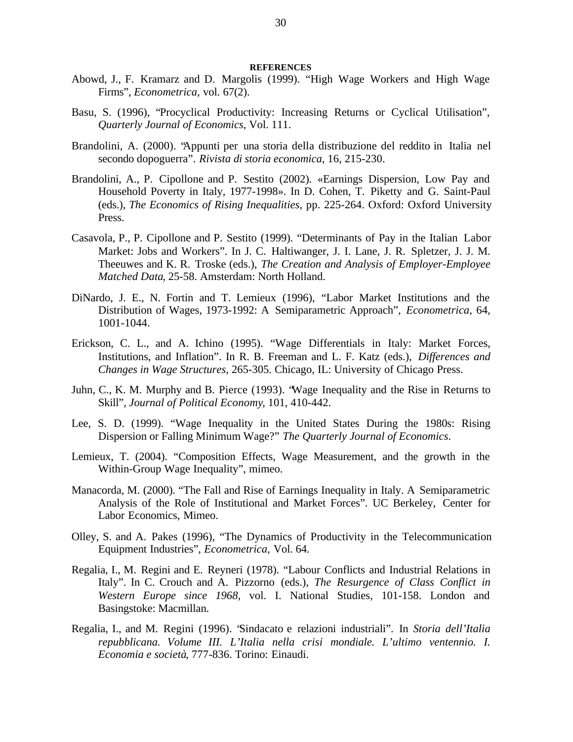#### **REFERENCES**

- Abowd, J., F. Kramarz and D. Margolis (1999). "High Wage Workers and High Wage Firms", *Econometrica*, vol. 67(2).
- Basu, S. (1996), "Procyclical Productivity: Increasing Returns or Cyclical Utilisation", *Quarterly Journal of Economics*, Vol. 111.
- Brandolini, A. (2000). "Appunti per una storia della distribuzione del reddito in Italia nel secondo dopoguerra". *Rivista di storia economica*, 16, 215-230.
- Brandolini, A., P. Cipollone and P. Sestito (2002). «Earnings Dispersion, Low Pay and Household Poverty in Italy, 1977-1998». In D. Cohen, T. Piketty and G. Saint-Paul (eds.), *The Economics of Rising Inequalities*, pp. 225-264. Oxford: Oxford University Press.
- Casavola, P., P. Cipollone and P. Sestito (1999). "Determinants of Pay in the Italian Labor Market: Jobs and Workers". In J. C. Haltiwanger, J. I. Lane, J. R. Spletzer, J. J. M. Theeuwes and K. R. Troske (eds.), *The Creation and Analysis of Employer-Employee Matched Data*, 25-58. Amsterdam: North Holland.
- DiNardo, J. E., N. Fortin and T. Lemieux (1996), "Labor Market Institutions and the Distribution of Wages, 1973-1992: A Semiparametric Approach", *Econometrica*, 64, 1001-1044.
- Erickson, C. L., and A. Ichino (1995). "Wage Differentials in Italy: Market Forces, Institutions, and Inflation". In R. B. Freeman and L. F. Katz (eds.), *Differences and Changes in Wage Structures*, 265-305. Chicago, IL: University of Chicago Press.
- Juhn, C., K. M. Murphy and B. Pierce (1993). "Wage Inequality and the Rise in Returns to Skill", *Journal of Political Economy*, 101, 410-442.
- Lee, S. D. (1999). "Wage Inequality in the United States During the 1980s: Rising Dispersion or Falling Minimum Wage?" *The Quarterly Journal of Economics*.
- Lemieux, T. (2004). "Composition Effects, Wage Measurement, and the growth in the Within-Group Wage Inequality", mimeo.
- Manacorda, M. (2000). "The Fall and Rise of Earnings Inequality in Italy. A Semiparametric Analysis of the Role of Institutional and Market Forces". UC Berkeley, Center for Labor Economics, Mimeo.
- Olley, S. and A. Pakes (1996), "The Dynamics of Productivity in the Telecommunication Equipment Industries", *Econometrica,* Vol. 64.
- Regalia, I., M. Regini and E. Reyneri (1978). "Labour Conflicts and Industrial Relations in Italy". In C. Crouch and A. Pizzorno (eds.), *The Resurgence of Class Conflict in Western Europe since 1968*, vol. I. National Studies, 101-158. London and Basingstoke: Macmillan.
- Regalia, I., and M. Regini (1996). "Sindacato e relazioni industriali". In *Storia dell'Italia repubblicana. Volume III. L'Italia nella crisi mondiale. L'ultimo ventennio. I. Economia e società*, 777-836. Torino: Einaudi.